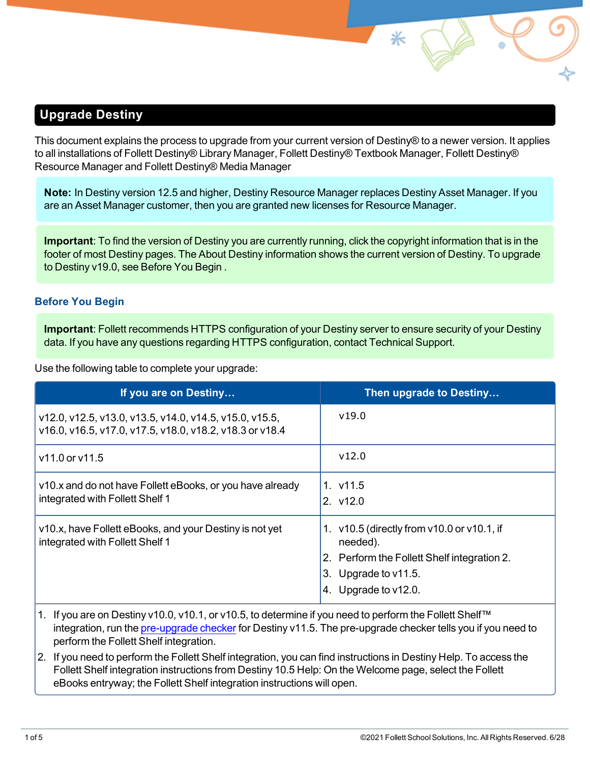# **Upgrade Destiny**

This document explains the process to upgrade from your current version of Destiny® to a newer version. It applies to all installations of Follett Destiny® Library Manager, Follett Destiny® Textbook Manager, Follett Destiny® Resource Manager and Follett Destiny® Media Manager

**Note:** In Destiny version 12.5 and higher, Destiny Resource Manager replaces Destiny Asset Manager. If you are an Asset Manager customer, then you are granted new licenses for Resource Manager.

<span id="page-0-0"></span>**Important**: To find the version of Destiny you are currently running, click the copyright information that is in the footer of most Destiny pages. The About Destiny information shows the current version of Destiny. To upgrade to Destiny v19.0, see [Before](#page-0-0) You Begin .

## <span id="page-0-1"></span>**Before You Begin**

**Important**: Follett recommends HTTPS configuration of your Destiny server to ensure security of your Destiny data. If you have any questions regarding HTTPS configuration, contact Technical Support.

Use the following table to complete your upgrade:

| If you are on Destiny                                                                                               | Then upgrade to Destiny                                                                                                                            |
|---------------------------------------------------------------------------------------------------------------------|----------------------------------------------------------------------------------------------------------------------------------------------------|
| v12.0, v12.5, v13.0, v13.5, v14.0, v14.5, v15.0, v15.5,<br>v16.0, v16.5, v17.0, v17.5, v18.0, v18.2, v18.3 or v18.4 | v19.0                                                                                                                                              |
| v11.0 or v11.5                                                                                                      | V12.0                                                                                                                                              |
| v10.x and do not have Follett eBooks, or you have already<br>integrated with Follett Shelf 1                        | 1. v11.5<br>2. $V12.0$                                                                                                                             |
| v10.x, have Follett eBooks, and your Destiny is not yet<br>integrated with Follett Shelf 1                          | 1. v10.5 (directly from v10.0 or v10.1, if<br>needed).<br>2. Perform the Follett Shelf integration 2.<br>3. Upgrade to v11.5.<br>Upgrade to v12.0. |

1. If you are on Destiny v10.0, v10.1, or v10.5, to determine if you need to perform the Follett Shelf™ integration, run the [pre-upgrade](#page-2-0) checker for Destiny v11.5. The pre-upgrade checker tells you if you need to perform the Follett Shelf integration.

2. If you need to perform the Follett Shelf integration, you can find instructions in Destiny Help. To access the Follett Shelf integration instructions from Destiny 10.5 Help: On the Welcome page, select the Follett eBooks entryway; the Follett Shelf integration instructions will open.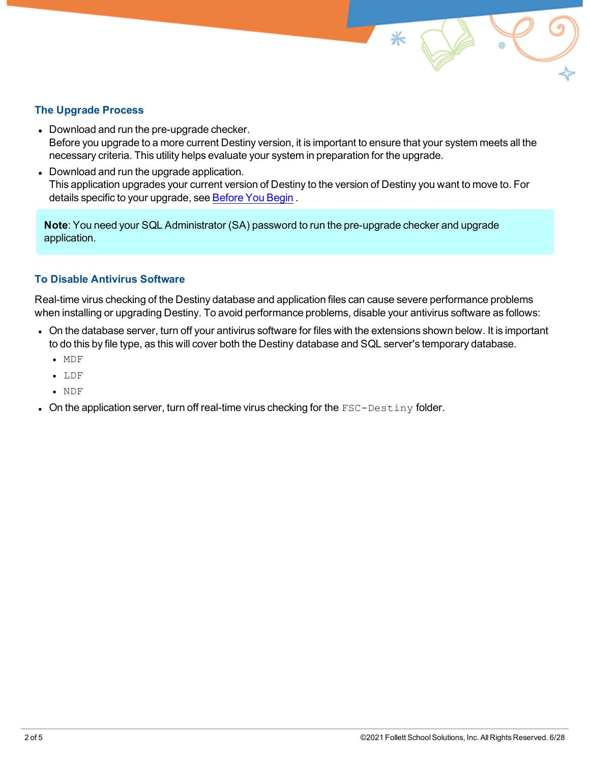#### **The Upgrade Process**

- Download and run the pre-upgrade checker. Before you upgrade to a more current Destiny version, it is important to ensure that your system meets all the necessary criteria. This utility helps evaluate your system in preparation for the upgrade.
- Download and run the upgrade application. This application upgrades your current version of Destiny to the version of Destiny you want to move to. For details specific to your upgrade, see [Before](#page-0-1) You Begin.

**Note**: You need your SQL Administrator (SA) password to run the pre-upgrade checker and upgrade application.

#### **To Disable Antivirus Software**

Real-time virus checking of the Destiny database and application files can cause severe performance problems when installing or upgrading Destiny. To avoid performance problems, disable your antivirus software as follows:

- On the database server, turn off your antivirus software for files with the extensions shown below. It is important to do this by file type, as this will cover both the Destiny database and SQL server's temporary database.
	- MDF
	- $\bullet$  LDF
	- <sup>l</sup> NDF
- **.** On the application server, turn off real-time virus checking for the  $FSC-Destiny$  folder.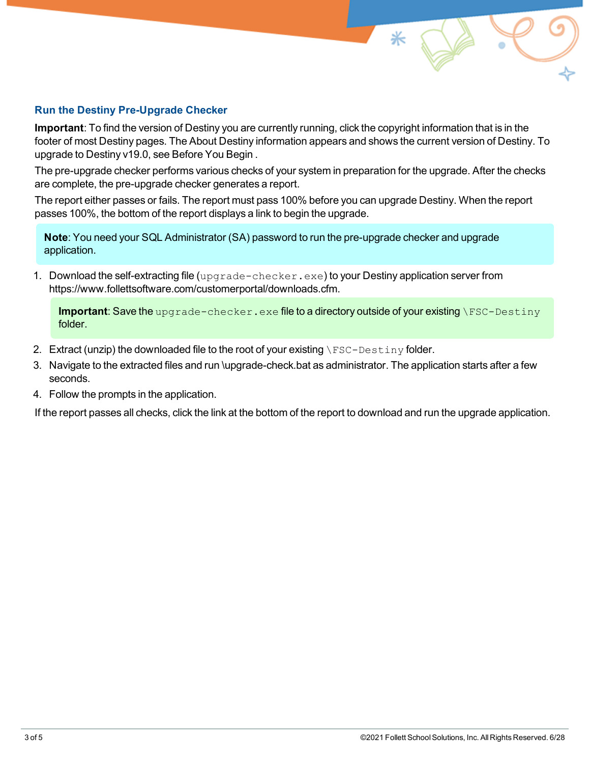#### <span id="page-2-0"></span>**Run the Destiny Pre-Upgrade Checker**

**Important**: To find the version of Destiny you are currently running, click the copyright information that is in the footer of most Destiny pages. The About Destiny information appears and shows the current version of Destiny. To upgrade to Destiny v19.0, see [Before](#page-0-0) You Begin .

The pre-upgrade checker performs various checks of your system in preparation for the upgrade. After the checks are complete, the pre-upgrade checker generates a report.

The report either passes or fails. The report must pass 100% before you can upgrade Destiny. When the report passes 100%, the bottom of the report displays a link to begin the upgrade.

**Note**: You need your SQL Administrator (SA) password to run the pre-upgrade checker and upgrade application.

1. Download the self-extracting file (upgrade-checker.exe) to your Destiny application server from https://www.follettsoftware.com/customerportal/downloads.cfm.

**Important**: Save the upgrade-checker.exe file to a directory outside of your existing \FSC-Destiny folder.

- 2. Extract (unzip) the downloaded file to the root of your existing  $\FSC-Destiny$  folder.
- 3. Navigate to the extracted files and run \upgrade-check.bat as administrator. The application starts after a few seconds.
- 4. Follow the prompts in the application.

If the report passes all checks, click the link at the bottom of the report to download and run the upgrade application.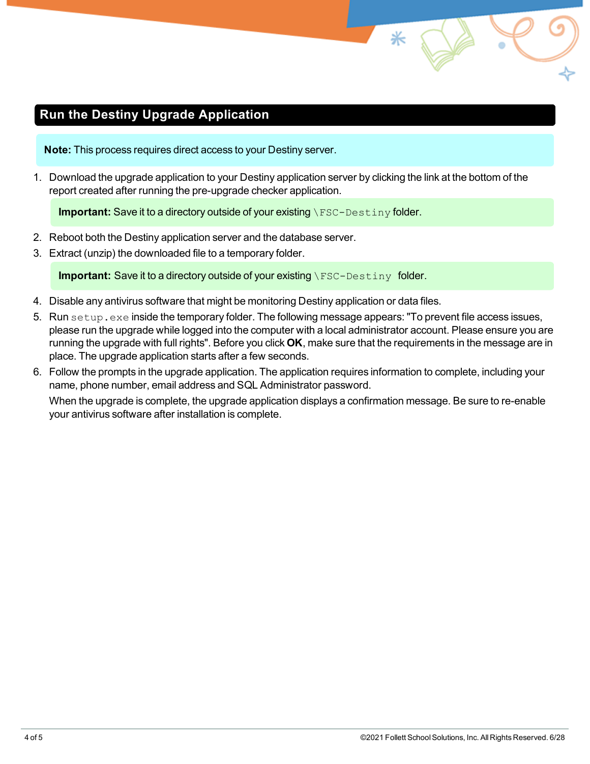# **Run the Destiny Upgrade Application**

**Note:** This process requires direct access to your Destiny server.

1. Download the upgrade application to your Destiny application server by clicking the link at the bottom of the report created after running the pre-upgrade checker application.

**Important:** Save it to a directory outside of your existing \FSC-Destiny folder.

- 2. Reboot both the Destiny application server and the database server.
- 3. Extract (unzip) the downloaded file to a temporary folder.

**Important:** Save it to a directory outside of your existing \FSC-Destiny folder.

- 4. Disable any antivirus software that might be monitoring Destiny application or data files.
- 5. Run setup.exe inside the temporary folder. The following message appears: "To prevent file access issues, please run the upgrade while logged into the computer with a local administrator account. Please ensure you are running the upgrade with full rights". Before you click **OK**, make sure that the requirements in the message are in place. The upgrade application starts after a few seconds.
- 6. Follow the prompts in the upgrade application. The application requires information to complete, including your name, phone number, email address and SQL Administrator password.

When the upgrade is complete, the upgrade application displays a confirmation message. Be sure to re-enable your antivirus software after installation is complete.